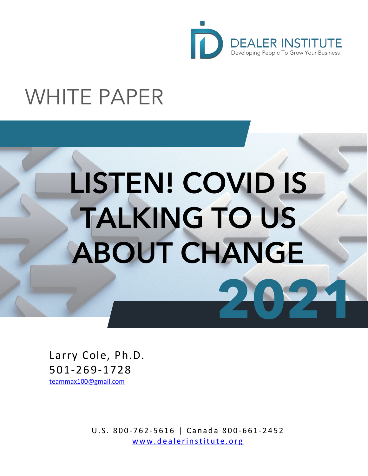

## WHITE PAPER

# LISTEN! COVID IS TALKING TO US ABOUT CHANGE **2021**

Larry Cole, Ph.D. 501-269-1728 [teammax100@gmail.com](mailto:teammax100@gmail.com)

> U.S. 800 - 762 - 5616 | Canada 800 - 661 - 2452 [www.dealerinstitute.org](http://www.dealerinstitute.org/)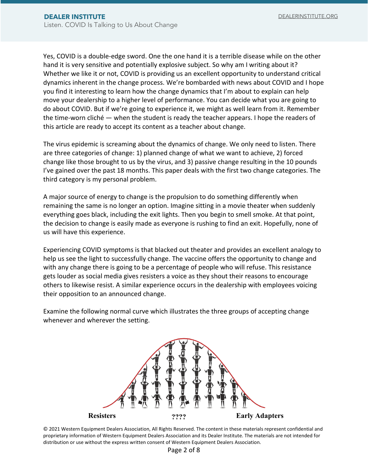Yes, COVID is a double-edge sword. One the one hand it is a terrible disease while on the other hand it is very sensitive and potentially explosive subject. So why am I writing about it? Whether we like it or not, COVID is providing us an excellent opportunity to understand critical dynamics inherent in the change process. We're bombarded with news about COVID and I hope you find it interesting to learn how the change dynamics that I'm about to explain can help move your dealership to a higher level of performance. You can decide what you are going to do about COVID. But if we're going to experience it, we might as well learn from it. Remember the time-worn cliché — when the student is ready the teacher appears. I hope the readers of this article are ready to accept its content as a teacher about change.

The virus epidemic is screaming about the dynamics of change. We only need to listen. There are three categories of change: 1) planned change of what we want to achieve, 2) forced change like those brought to us by the virus, and 3) passive change resulting in the 10 pounds I've gained over the past 18 months. This paper deals with the first two change categories. The third category is my personal problem.

A major source of energy to change is the propulsion to do something differently when remaining the same is no longer an option. Imagine sitting in a movie theater when suddenly everything goes black, including the exit lights. Then you begin to smell smoke. At that point, the decision to change is easily made as everyone is rushing to find an exit. Hopefully, none of us will have this experience.

Experiencing COVID symptoms is that blacked out theater and provides an excellent analogy to help us see the light to successfully change. The vaccine offers the opportunity to change and with any change there is going to be a percentage of people who will refuse. This resistance gets louder as social media gives resisters a voice as they shout their reasons to encourage others to likewise resist. A similar experience occurs in the dealership with employees voicing their opposition to an announced change.

Examine the following normal curve which illustrates the three groups of accepting change whenever and wherever the setting.

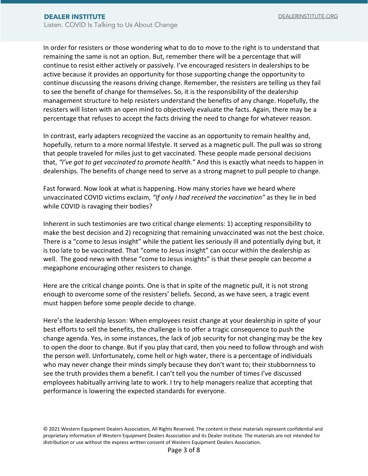In order for resisters or those wondering what to do to move to the right is to understand that remaining the same is not an option. But, remember there will be a percentage that will continue to resist either actively or passively. I've encouraged resisters in dealerships to be active because it provides an opportunity for those supporting change the opportunity to continue discussing the reasons driving change. Remember, the resisters are telling us they fail to see the benefit of change for themselves. So, it is the responsibility of the dealership management structure to help resisters understand the benefits of any change. Hopefully, the resisters will listen with an open mind to objectively evaluate the facts. Again, there may be a percentage that refuses to accept the facts driving the need to change for whatever reason.

In contrast, early adapters recognized the vaccine as an opportunity to remain healthy and, hopefully, return to a more normal lifestyle. It served as a magnetic pull. The pull was so strong that people traveled for miles just to get vaccinated. These people made personal decisions that, *"I've got to get vaccinated to promote health."* And this is exactly what needs to happen in dealerships. The benefits of change need to serve as a strong magnet to pull people to change.

Fast forward. Now look at what is happening. How many stories have we heard where unvaccinated COVID victims exclaim, *"If only I had received the vaccination"* as they lie in bed while COVID is ravaging their bodies?

Inherent in such testimonies are two critical change elements: 1) accepting responsibility to make the best decision and 2) recognizing that remaining unvaccinated was not the best choice. There is a "come to Jesus insight" while the patient lies seriously ill and potentially dying but, it is too late to be vaccinated. That "come to Jesus insight" can occur within the dealership as well. The good news with these "come to Jesus insights" is that these people can become a megaphone encouraging other resisters to change.

Here are the critical change points. One is that in spite of the magnetic pull, it is not strong enough to overcome some of the resisters' beliefs. Second, as we have seen, a tragic event must happen before some people decide to change.

Here's the leadership lesson: When employees resist change at your dealership in spite of your best efforts to sell the benefits, the challenge is to offer a tragic consequence to push the change agenda. Yes, in some instances, the lack of job security for not changing may be the key to open the door to change. But if you play that card, then you need to follow through and wish the person well. Unfortunately, come hell or high water, there is a percentage of individuals who may never change their minds simply because they don't want to; their stubbornness to see the truth provides them a benefit. I can't tell you the number of times I've discussed employees habitually arriving late to work. I try to help managers realize that accepting that performance is lowering the expected standards for everyone.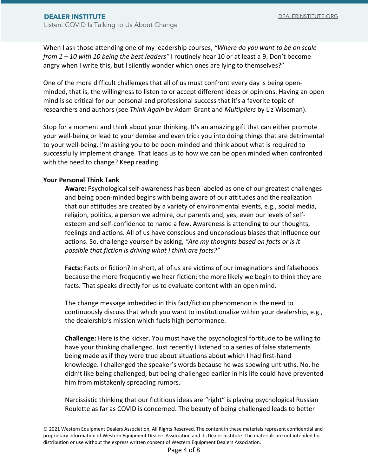When I ask those attending one of my leadership courses, *"Where do you want to be on scale from 1 – 10 with 10 being the best leaders"* I routinely hear 10 or at least a 9. Don't become angry when I write this, but I silently wonder which ones are lying to themselves?"

One of the more difficult challenges that all of us must confront every day is being openminded, that is, the willingness to listen to or accept different ideas or opinions. Having an open mind is so critical for our personal and professional success that it's a favorite topic of researchers and authors (see *Think Again* by Adam Grant and *Multipliers* by Liz Wiseman).

Stop for a moment and think about your thinking. It's an amazing gift that can either promote your well-being or lead to your demise and even trick you into doing things that are detrimental to your well-being. I'm asking you to be open-minded and think about what is required to successfully implement change. That leads us to how we can be open minded when confronted with the need to change? Keep reading.

#### **Your Personal Think Tank**

**Aware:** Psychological self-awareness has been labeled as one of our greatest challenges and being open-minded begins with being aware of our attitudes and the realization that our attitudes are created by a variety of environmental events, e.g., social media, religion, politics, a person we admire, our parents and, yes, even our levels of selfesteem and self-confidence to name a few. Awareness is attending to our thoughts, feelings and actions. All of us have conscious and unconscious biases that influence our actions. So, challenge yourself by asking, *"Are my thoughts based on facts or is it possible that fiction is driving what I think are facts?"*

**Facts:** Facts or fiction? In short, all of us are victims of our imaginations and falsehoods because the more frequently we hear fiction; the more likely we begin to think they are facts. That speaks directly for us to evaluate content with an open mind.

The change message imbedded in this fact/fiction phenomenon is the need to continuously discuss that which you want to institutionalize within your dealership, e.g., the dealership's mission which fuels high performance.

**Challenge:** Here is the kicker. You must have the psychological fortitude to be willing to have your thinking challenged. Just recently I listened to a series of false statements being made as if they were true about situations about which I had first-hand knowledge. I challenged the speaker's words because he was spewing untruths. No, he didn't like being challenged, but being challenged earlier in his life could have prevented him from mistakenly spreading rumors.

Narcissistic thinking that our fictitious ideas are "right" is playing psychological Russian Roulette as far as COVID is concerned. The beauty of being challenged leads to better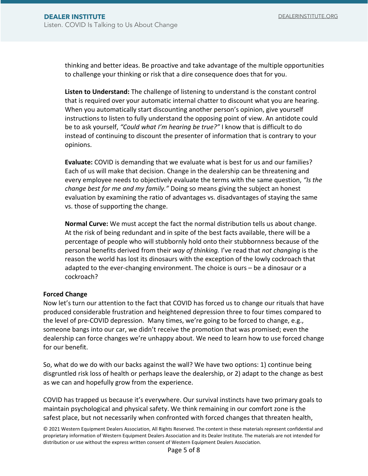thinking and better ideas. Be proactive and take advantage of the multiple opportunities to challenge your thinking or risk that a dire consequence does that for you.

**Listen to Understand:** The challenge of listening to understand is the constant control that is required over your automatic internal chatter to discount what you are hearing. When you automatically start discounting another person's opinion, give yourself instructions to listen to fully understand the opposing point of view. An antidote could be to ask yourself, *"Could what I'm hearing be true?"* I know that is difficult to do instead of continuing to discount the presenter of information that is contrary to your opinions.

**Evaluate:** COVID is demanding that we evaluate what is best for us and our families? Each of us will make that decision. Change in the dealership can be threatening and every employee needs to objectively evaluate the terms with the same question, *"Is the change best for me and my family."* Doing so means giving the subject an honest evaluation by examining the ratio of advantages vs. disadvantages of staying the same vs. those of supporting the change.

**Normal Curve:** We must accept the fact the normal distribution tells us about change. At the risk of being redundant and in spite of the best facts available, there will be a percentage of people who will stubbornly hold onto their stubbornness because of the personal benefits derived from their *way of thinking.* I've read that *not changing* is the reason the world has lost its dinosaurs with the exception of the lowly cockroach that adapted to the ever-changing environment. The choice is ours – be a dinosaur or a cockroach?

#### **Forced Change**

Now let's turn our attention to the fact that COVID has forced us to change our rituals that have produced considerable frustration and heightened depression three to four times compared to the level of pre-COVID depression. Many times, we're going to be forced to change, e.g., someone bangs into our car, we didn't receive the promotion that was promised; even the dealership can force changes we're unhappy about. We need to learn how to use forced change for our benefit.

So, what do we do with our backs against the wall? We have two options: 1) continue being disgruntled risk loss of health or perhaps leave the dealership, or 2) adapt to the change as best as we can and hopefully grow from the experience.

COVID has trapped us because it's everywhere. Our survival instincts have two primary goals to maintain psychological and physical safety. We think remaining in our comfort zone is the safest place, but not necessarily when confronted with forced changes that threaten health,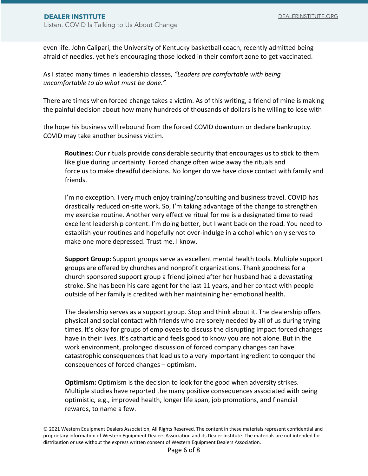even life. John Calipari, the University of Kentucky basketball coach, recently admitted being afraid of needles. yet he's encouraging those locked in their comfort zone to get vaccinated.

As I stated many times in leadership classes, *"Leaders are comfortable with being uncomfortable to do what must be done."*

There are times when forced change takes a victim. As of this writing, a friend of mine is making the painful decision about how many hundreds of thousands of dollars is he willing to lose with

the hope his business will rebound from the forced COVID downturn or declare bankruptcy. COVID may take another business victim.

**Routines:** Our rituals provide considerable security that encourages us to stick to them like glue during uncertainty. Forced change often wipe away the rituals and force us to make dreadful decisions. No longer do we have close contact with family and friends.

I'm no exception. I very much enjoy training/consulting and business travel. COVID has drastically reduced on-site work. So, I'm taking advantage of the change to strengthen my exercise routine. Another very effective ritual for me is a designated time to read excellent leadership content. I'm doing better, but I want back on the road. You need to establish your routines and hopefully not over-indulge in alcohol which only serves to make one more depressed. Trust me. I know.

**Support Group:** Support groups serve as excellent mental health tools. Multiple support groups are offered by churches and nonprofit organizations. Thank goodness for a church sponsored support group a friend joined after her husband had a devastating stroke. She has been his care agent for the last 11 years, and her contact with people outside of her family is credited with her maintaining her emotional health.

The dealership serves as a support group. Stop and think about it. The dealership offers physical and social contact with friends who are sorely needed by all of us during trying times. It's okay for groups of employees to discuss the disrupting impact forced changes have in their lives. It's cathartic and feels good to know you are not alone. But in the work environment, prolonged discussion of forced company changes can have catastrophic consequences that lead us to a very important ingredient to conquer the consequences of forced changes – optimism.

**Optimism:** Optimism is the decision to look for the good when adversity strikes. Multiple studies have reported the many positive consequences associated with being optimistic, e.g., improved health, longer life span, job promotions, and financial rewards, to name a few.

<sup>© 2021</sup> Western Equipment Dealers Association, All Rights Reserved. The content in these materials represent confidential and proprietary information of Western Equipment Dealers Association and its Dealer Institute. The materials are not intended for distribution or use without the express written consent of Western Equipment Dealers Association.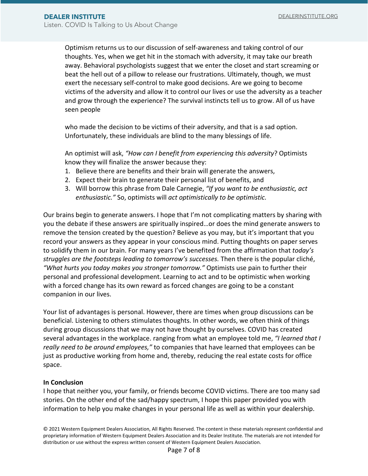Optimism returns us to our discussion of self-awareness and taking control of our thoughts. Yes, when we get hit in the stomach with adversity, it may take our breath away. Behavioral psychologists suggest that we enter the closet and start screaming or beat the hell out of a pillow to release our frustrations. Ultimately, though, we must exert the necessary self-control to make good decisions. Are we going to become victims of the adversity and allow it to control our lives or use the adversity as a teacher and grow through the experience? The survival instincts tell us to grow. All of us have seen people

who made the decision to be victims of their adversity, and that is a sad option. Unfortunately, these individuals are blind to the many blessings of life.

An optimist will ask, *"How can I benefit from experiencing this adversity*? Optimists know they will finalize the answer because they:

- 1. Believe there are benefits and their brain will generate the answers,
- 2. Expect their brain to generate their personal list of benefits, and
- 3. Will borrow this phrase from Dale Carnegie, *"If you want to be enthusiastic, act enthusiastic."* So, optimists will *act optimistically to be optimistic.*

Our brains begin to generate answers. I hope that I'm not complicating matters by sharing with you the debate if these answers are spiritually inspired…or does the mind generate answers to remove the tension created by the question? Believe as you may, but it's important that you record your answers as they appear in your conscious mind. Putting thoughts on paper serves to solidify them in our brain. For many years I've benefited from the affirmation that *today's struggles are the footsteps leading to tomorrow's successes.* Then there is the popular cliché, *"What hurts you today makes you stronger tomorrow."* Optimists use pain to further their personal and professional development. Learning to act and to be optimistic when working with a forced change has its own reward as forced changes are going to be a constant companion in our lives.

Your list of advantages is personal. However, there are times when group discussions can be beneficial. Listening to others stimulates thoughts. In other words, we often think of things during group discussions that we may not have thought by ourselves. COVID has created several advantages in the workplace. ranging from what an employee told me, *"I learned that I really need to be around employees,"* to companies that have learned that employees can be just as productive working from home and, thereby, reducing the real estate costs for office space.

#### **In Conclusion**

I hope that neither you, your family, or friends become COVID victims. There are too many sad stories. On the other end of the sad/happy spectrum, I hope this paper provided you with information to help you make changes in your personal life as well as within your dealership.